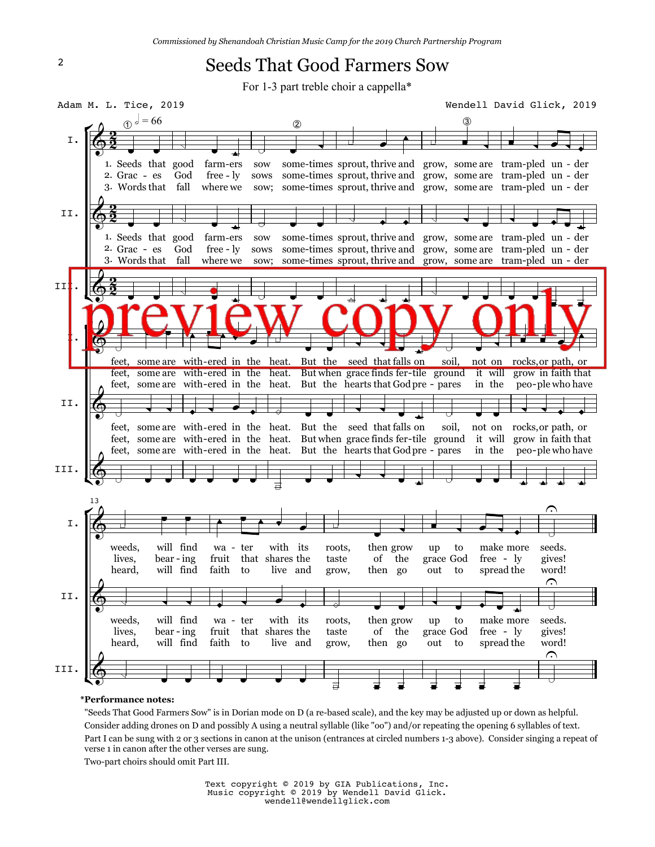## Seeds That Good Farmers Sow

For 1-3 part treble choir a cappella\*



## **\*Performance notes:**

 "Seeds That Good Farmers Sow" is in Dorian mode on D (a re-based scale), and the key may be adjusted up or down as helpful. Consider adding drones on D and possibly A using a neutral syllable (like "oo") and/or repeating the opening 6 syllables of text. Part I can be sung with 2 or 3 sections in canon at the unison (entrances at circled numbers 1-3 above). Consider singing a repeat of verse 1 in canon after the other verses are sung.

Two-part choirs should omit Part III.

Text copyright © 2019 by GIA Publications, Inc. Music copyright © 2019 by Wendell David Glick. wendell@wendellglick.com